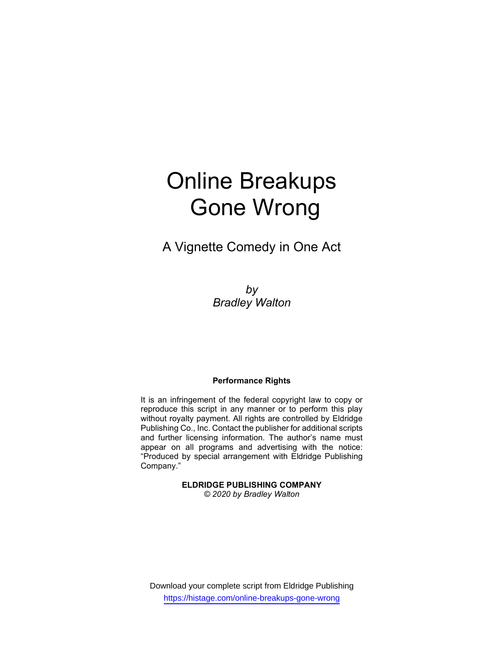# Online Breakups Gone Wrong

A Vignette Comedy in One Act

by Bradley Walton

## Performance Rights

It is an infringement of the federal copyright law to copy or reproduce this script in any manner or to perform this play without royalty payment. All rights are controlled by Eldridge Publishing Co., Inc. Contact the publisher for additional scripts and further licensing information. The author's name must appear on all programs and advertising with the notice: "Produced by special arrangement with Eldridge Publishing Company."

> ELDRIDGE PUBLISHING COMPANY © 2020 by Bradley Walton

Download your complete script from Eldridge Publishing https://histage.com/online-breakups-gone-wrong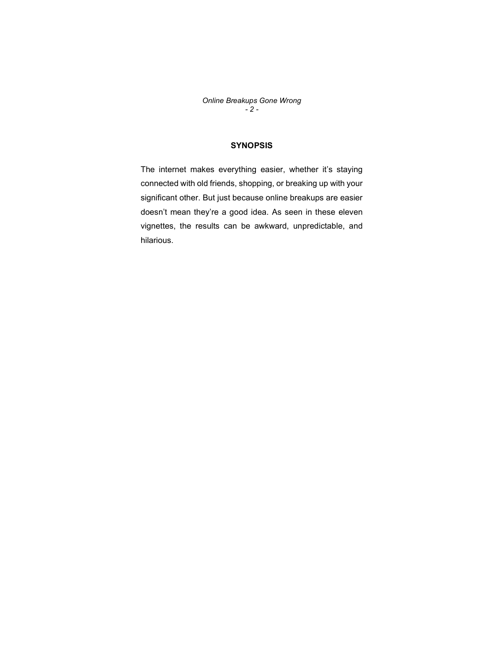Online Breakups Gone Wrong  $-2 -$ 

## **SYNOPSIS**

The internet makes everything easier, whether it's staying connected with old friends, shopping, or breaking up with your significant other. But just because online breakups are easier doesn't mean they're a good idea. As seen in these eleven vignettes, the results can be awkward, unpredictable, and hilarious.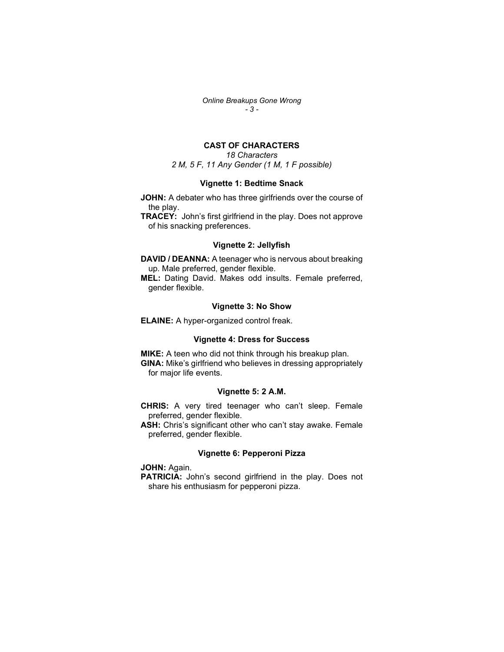Online Breakups Gone Wrong - 3 -

## CAST OF CHARACTERS

18 Characters 2 M, 5 F, 11 Any Gender (1 M, 1 F possible)

## Vignette 1: Bedtime Snack

JOHN: A debater who has three girlfriends over the course of the play.

TRACEY: John's first girlfriend in the play. Does not approve of his snacking preferences.

## Vignette 2: Jellyfish

DAVID / DEANNA: A teenager who is nervous about breaking up. Male preferred, gender flexible.

MEL: Dating David. Makes odd insults. Female preferred, gender flexible.

#### Vignette 3: No Show

ELAINE: A hyper-organized control freak.

## Vignette 4: Dress for Success

**MIKE:** A teen who did not think through his breakup plan. GINA: Mike's girlfriend who believes in dressing appropriately for major life events.

#### Vignette 5: 2 A.M.

CHRIS: A very tired teenager who can't sleep. Female preferred, gender flexible.

ASH: Chris's significant other who can't stay awake. Female preferred, gender flexible.

#### Vignette 6: Pepperoni Pizza

JOHN: Again.

PATRICIA: John's second girlfriend in the play. Does not share his enthusiasm for pepperoni pizza.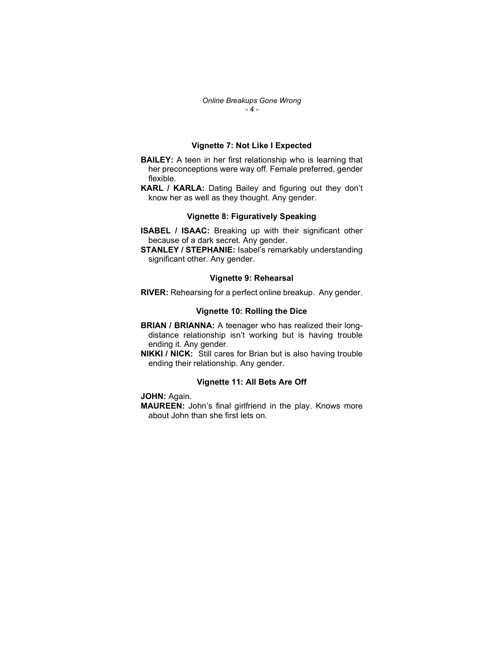### Vignette 7: Not Like I Expected

- **BAILEY:** A teen in her first relationship who is learning that her preconceptions were way off. Female preferred, gender flexible.
- KARL / KARLA: Dating Bailey and figuring out they don't know her as well as they thought. Any gender.

## Vignette 8: Figuratively Speaking

- ISABEL / ISAAC: Breaking up with their significant other because of a dark secret. Any gender.
- STANLEY / STEPHANIE: Isabel's remarkably understanding significant other. Any gender.

#### Vignette 9: Rehearsal

RIVER: Rehearsing for a perfect online breakup. Any gender.

#### Vignette 10: Rolling the Dice

- BRIAN / BRIANNA: A teenager who has realized their longdistance relationship isn't working but is having trouble ending it. Any gender.
- **NIKKI / NICK:** Still cares for Brian but is also having trouble ending their relationship. Any gender.

#### Vignette 11: All Bets Are Off

### JOHN: Again.

MAUREEN: John's final girlfriend in the play. Knows more about John than she first lets on.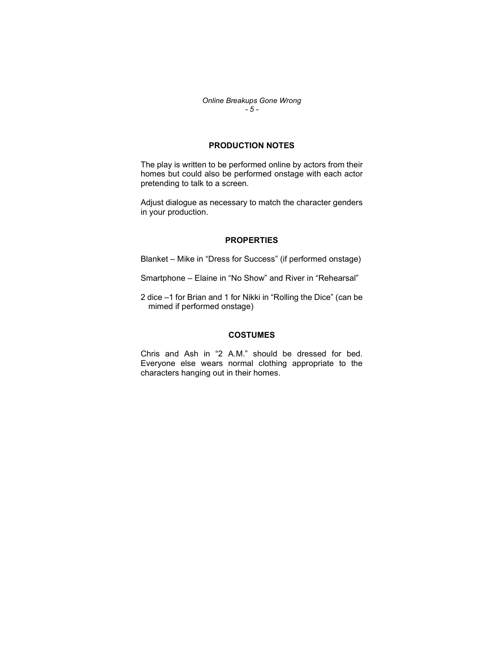Online Breakups Gone Wrong  $-5 -$ 

## PRODUCTION NOTES

The play is written to be performed online by actors from their homes but could also be performed onstage with each actor pretending to talk to a screen.

Adjust dialogue as necessary to match the character genders in your production.

## **PROPERTIES**

Blanket – Mike in "Dress for Success" (if performed onstage)

- Smartphone Elaine in "No Show" and River in "Rehearsal"
- 2 dice –1 for Brian and 1 for Nikki in "Rolling the Dice" (can be mimed if performed onstage)

## **COSTUMES**

Chris and Ash in "2 A.M." should be dressed for bed. Everyone else wears normal clothing appropriate to the characters hanging out in their homes.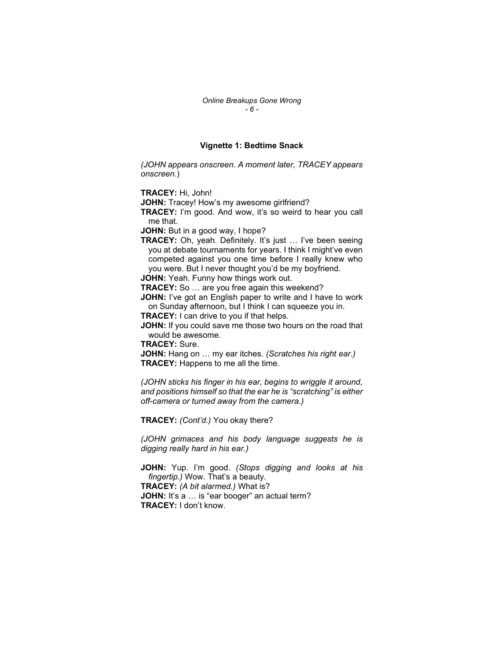### Vignette 1: Bedtime Snack

(JOHN appears onscreen. A moment later, TRACEY appears onscreen.)

TRACEY: Hi, John!

JOHN: Tracey! How's my awesome girlfriend?

TRACEY: I'm good. And wow, it's so weird to hear you call me that.

JOHN: But in a good way, I hope?

TRACEY: Oh, yeah. Definitely. It's just ... I've been seeing you at debate tournaments for years. I think I might've even competed against you one time before I really knew who you were. But I never thought you'd be my boyfriend.

JOHN: Yeah. Funny how things work out.

TRACEY: So ... are you free again this weekend?

JOHN: I've got an English paper to write and I have to work on Sunday afternoon, but I think I can squeeze you in.

TRACEY: I can drive to you if that helps.

JOHN: If you could save me those two hours on the road that would be awesome.

TRACEY: Sure.

JOHN: Hang on ... my ear itches. (Scratches his right ear.) TRACEY: Happens to me all the time.

(JOHN sticks his finger in his ear, begins to wriggle it around, and positions himself so that the ear he is "scratching" is either off-camera or turned away from the camera.)

TRACEY: (Cont'd.) You okay there?

(JOHN grimaces and his body language suggests he is digging really hard in his ear.)

JOHN: Yup. I'm good. (Stops digging and looks at his fingertip.) Wow. That's a beauty. TRACEY: (A bit alarmed.) What is? JOHN: It's a ... is "ear booger" an actual term? TRACEY: I don't know.